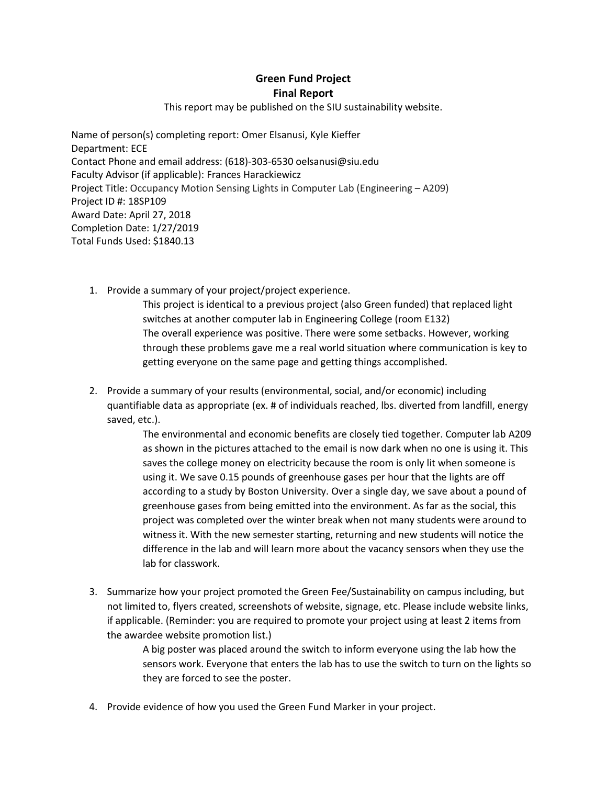## **Green Fund Project Final Report**

This report may be published on the SIU sustainability website.

Name of person(s) completing report: Omer Elsanusi, Kyle Kieffer Department: ECE Contact Phone and email address: (618)-303-6530 oelsanusi@siu.edu Faculty Advisor (if applicable): Frances Harackiewicz Project Title: Occupancy Motion Sensing Lights in Computer Lab (Engineering – A209) Project ID #: 18SP109 Award Date: April 27, 2018 Completion Date: 1/27/2019 Total Funds Used: \$1840.13

1. Provide a summary of your project/project experience.

This project is identical to a previous project (also Green funded) that replaced light switches at another computer lab in Engineering College (room E132) The overall experience was positive. There were some setbacks. However, working through these problems gave me a real world situation where communication is key to getting everyone on the same page and getting things accomplished.

2. Provide a summary of your results (environmental, social, and/or economic) including quantifiable data as appropriate (ex. # of individuals reached, lbs. diverted from landfill, energy saved, etc.).

> The environmental and economic benefits are closely tied together. Computer lab A209 as shown in the pictures attached to the email is now dark when no one is using it. This saves the college money on electricity because the room is only lit when someone is using it. We save 0.15 pounds of greenhouse gases per hour that the lights are off according to a study by Boston University. Over a single day, we save about a pound of greenhouse gases from being emitted into the environment. As far as the social, this project was completed over the winter break when not many students were around to witness it. With the new semester starting, returning and new students will notice the difference in the lab and will learn more about the vacancy sensors when they use the lab for classwork.

3. Summarize how your project promoted the Green Fee/Sustainability on campus including, but not limited to, flyers created, screenshots of website, signage, etc. Please include website links, if applicable. (Reminder: you are required to promote your project using at least 2 items from the awardee website promotion list.)

> A big poster was placed around the switch to inform everyone using the lab how the sensors work. Everyone that enters the lab has to use the switch to turn on the lights so they are forced to see the poster.

4. Provide evidence of how you used the Green Fund Marker in your project.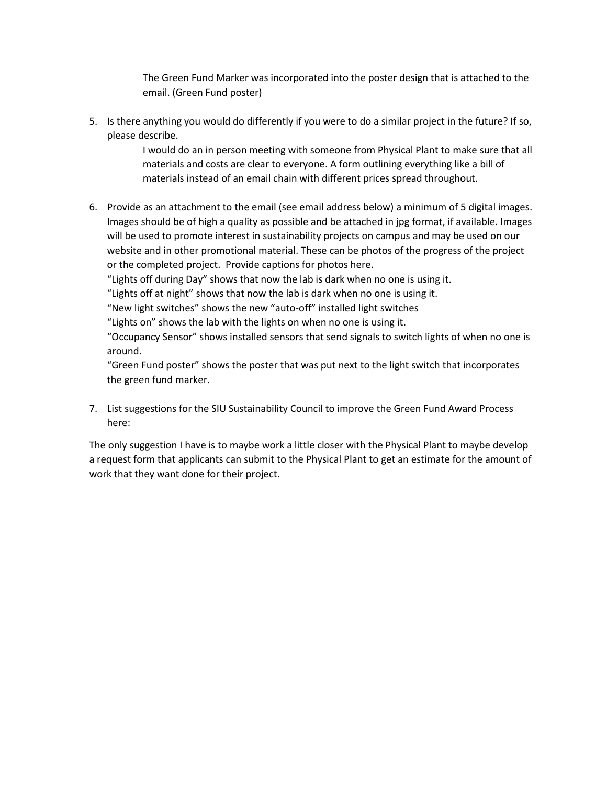The Green Fund Marker was incorporated into the poster design that is attached to the email. (Green Fund poster)

5. Is there anything you would do differently if you were to do a similar project in the future? If so, please describe.

> I would do an in person meeting with someone from Physical Plant to make sure that all materials and costs are clear to everyone. A form outlining everything like a bill of materials instead of an email chain with different prices spread throughout.

6. Provide as an attachment to the email (see email address below) a minimum of 5 digital images. Images should be of high a quality as possible and be attached in jpg format, if available. Images will be used to promote interest in sustainability projects on campus and may be used on our website and in other promotional material. These can be photos of the progress of the project or the completed project. Provide captions for photos here.

"Lights off during Day" shows that now the lab is dark when no one is using it.

"Lights off at night" shows that now the lab is dark when no one is using it.

"New light switches" shows the new "auto-off" installed light switches

"Lights on" shows the lab with the lights on when no one is using it.

"Occupancy Sensor" shows installed sensors that send signals to switch lights of when no one is around.

"Green Fund poster" shows the poster that was put next to the light switch that incorporates the green fund marker.

7. List suggestions for the SIU Sustainability Council to improve the Green Fund Award Process here:

The only suggestion I have is to maybe work a little closer with the Physical Plant to maybe develop a request form that applicants can submit to the Physical Plant to get an estimate for the amount of work that they want done for their project.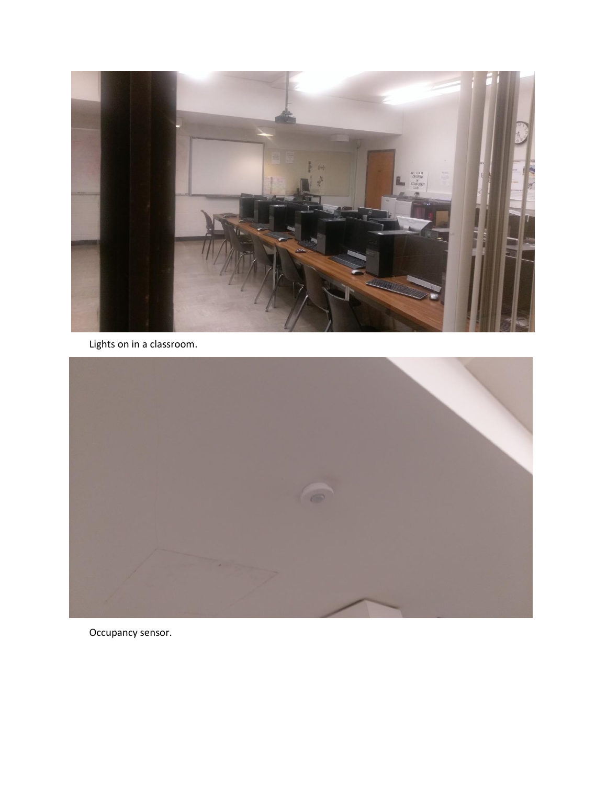

Lights on in a classroom.



Occupancy sensor.